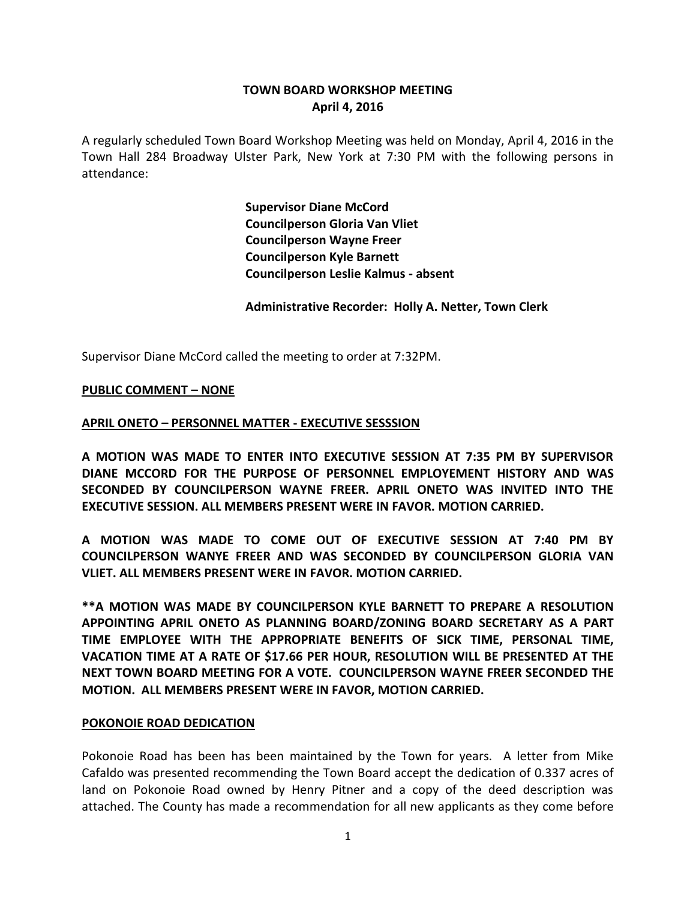# **TOWN BOARD WORKSHOP MEETING April 4, 2016**

A regularly scheduled Town Board Workshop Meeting was held on Monday, April 4, 2016 in the Town Hall 284 Broadway Ulster Park, New York at 7:30 PM with the following persons in attendance:

> **Supervisor Diane McCord Councilperson Gloria Van Vliet Councilperson Wayne Freer Councilperson Kyle Barnett Councilperson Leslie Kalmus - absent**

**Administrative Recorder: Holly A. Netter, Town Clerk**

Supervisor Diane McCord called the meeting to order at 7:32PM.

#### **PUBLIC COMMENT – NONE**

#### **APRIL ONETO – PERSONNEL MATTER - EXECUTIVE SESSSION**

**A MOTION WAS MADE TO ENTER INTO EXECUTIVE SESSION AT 7:35 PM BY SUPERVISOR DIANE MCCORD FOR THE PURPOSE OF PERSONNEL EMPLOYEMENT HISTORY AND WAS SECONDED BY COUNCILPERSON WAYNE FREER. APRIL ONETO WAS INVITED INTO THE EXECUTIVE SESSION. ALL MEMBERS PRESENT WERE IN FAVOR. MOTION CARRIED.**

**A MOTION WAS MADE TO COME OUT OF EXECUTIVE SESSION AT 7:40 PM BY COUNCILPERSON WANYE FREER AND WAS SECONDED BY COUNCILPERSON GLORIA VAN VLIET. ALL MEMBERS PRESENT WERE IN FAVOR. MOTION CARRIED.**

**\*\*A MOTION WAS MADE BY COUNCILPERSON KYLE BARNETT TO PREPARE A RESOLUTION APPOINTING APRIL ONETO AS PLANNING BOARD/ZONING BOARD SECRETARY AS A PART TIME EMPLOYEE WITH THE APPROPRIATE BENEFITS OF SICK TIME, PERSONAL TIME, VACATION TIME AT A RATE OF \$17.66 PER HOUR, RESOLUTION WILL BE PRESENTED AT THE NEXT TOWN BOARD MEETING FOR A VOTE. COUNCILPERSON WAYNE FREER SECONDED THE MOTION. ALL MEMBERS PRESENT WERE IN FAVOR, MOTION CARRIED.** 

#### **POKONOIE ROAD DEDICATION**

Pokonoie Road has been has been maintained by the Town for years. A letter from Mike Cafaldo was presented recommending the Town Board accept the dedication of 0.337 acres of land on Pokonoie Road owned by Henry Pitner and a copy of the deed description was attached. The County has made a recommendation for all new applicants as they come before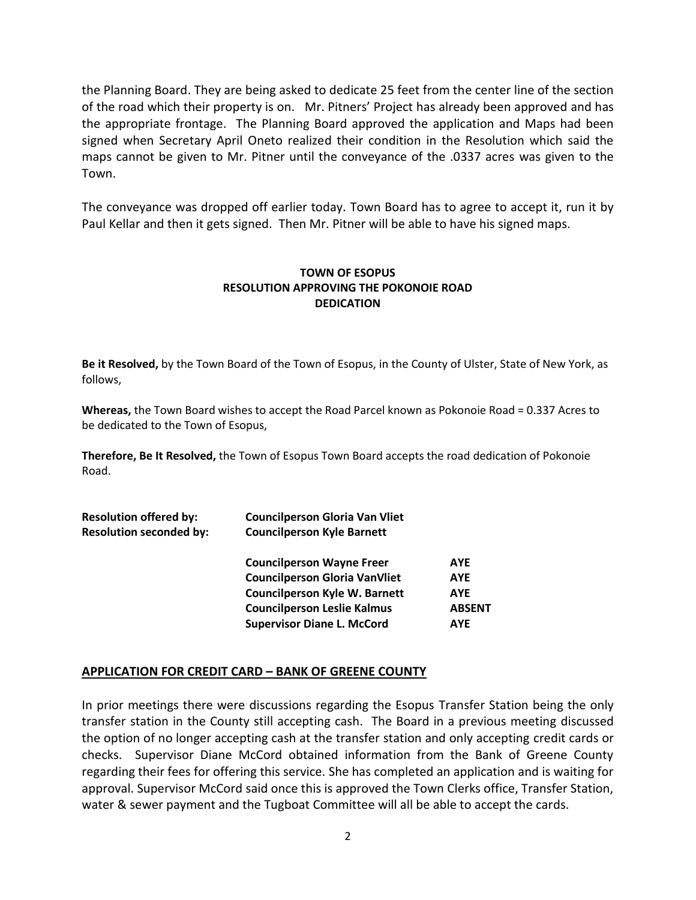the Planning Board. They are being asked to dedicate 25 feet from the center line of the section of the road which their property is on. Mr. Pitners' Project has already been approved and has the appropriate frontage. The Planning Board approved the application and Maps had been signed when Secretary April Oneto realized their condition in the Resolution which said the maps cannot be given to Mr. Pitner until the conveyance of the .0337 acres was given to the Town.

The conveyance was dropped off earlier today. Town Board has to agree to accept it, run it by Paul Kellar and then it gets signed. Then Mr. Pitner will be able to have his signed maps.

## **TOWN OF ESOPUS RESOLUTION APPROVING THE POKONOIE ROAD DEDICATION**

**Be it Resolved,** by the Town Board of the Town of Esopus, in the County of Ulster, State of New York, as follows,

**Whereas,** the Town Board wishes to accept the Road Parcel known as Pokonoie Road = 0.337 Acres to be dedicated to the Town of Esopus,

**Therefore, Be It Resolved,** the Town of Esopus Town Board accepts the road dedication of Pokonoie Road.

| <b>Councilperson Gloria Van Vliet</b><br><b>Councilperson Kyle Barnett</b> |               |
|----------------------------------------------------------------------------|---------------|
| <b>Councilperson Wayne Freer</b>                                           | <b>AYE</b>    |
| <b>Councilperson Gloria VanVliet</b>                                       | <b>AYE</b>    |
| <b>Councilperson Kyle W. Barnett</b>                                       | <b>AYE</b>    |
| <b>Councilperson Leslie Kalmus</b>                                         | <b>ABSENT</b> |
| <b>Supervisor Diane L. McCord</b>                                          | <b>AYE</b>    |
|                                                                            |               |

## **APPLICATION FOR CREDIT CARD – BANK OF GREENE COUNTY**

In prior meetings there were discussions regarding the Esopus Transfer Station being the only transfer station in the County still accepting cash. The Board in a previous meeting discussed the option of no longer accepting cash at the transfer station and only accepting credit cards or checks. Supervisor Diane McCord obtained information from the Bank of Greene County regarding their fees for offering this service. She has completed an application and is waiting for approval. Supervisor McCord said once this is approved the Town Clerks office, Transfer Station, water & sewer payment and the Tugboat Committee will all be able to accept the cards.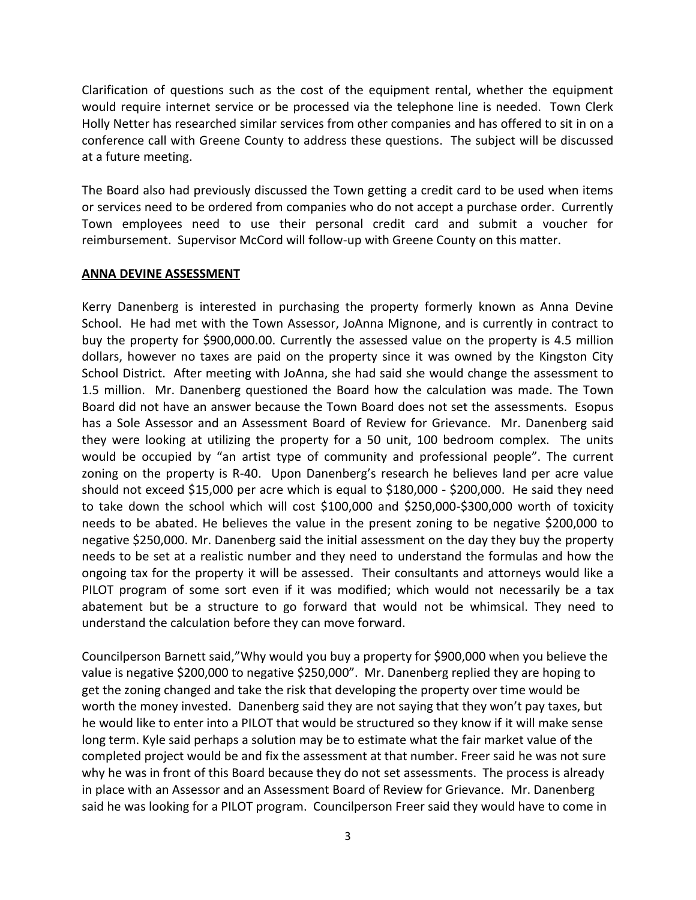Clarification of questions such as the cost of the equipment rental, whether the equipment would require internet service or be processed via the telephone line is needed. Town Clerk Holly Netter has researched similar services from other companies and has offered to sit in on a conference call with Greene County to address these questions. The subject will be discussed at a future meeting.

The Board also had previously discussed the Town getting a credit card to be used when items or services need to be ordered from companies who do not accept a purchase order. Currently Town employees need to use their personal credit card and submit a voucher for reimbursement. Supervisor McCord will follow-up with Greene County on this matter.

#### **ANNA DEVINE ASSESSMENT**

Kerry Danenberg is interested in purchasing the property formerly known as Anna Devine School. He had met with the Town Assessor, JoAnna Mignone, and is currently in contract to buy the property for \$900,000.00. Currently the assessed value on the property is 4.5 million dollars, however no taxes are paid on the property since it was owned by the Kingston City School District. After meeting with JoAnna, she had said she would change the assessment to 1.5 million. Mr. Danenberg questioned the Board how the calculation was made. The Town Board did not have an answer because the Town Board does not set the assessments. Esopus has a Sole Assessor and an Assessment Board of Review for Grievance. Mr. Danenberg said they were looking at utilizing the property for a 50 unit, 100 bedroom complex. The units would be occupied by "an artist type of community and professional people". The current zoning on the property is R-40. Upon Danenberg's research he believes land per acre value should not exceed \$15,000 per acre which is equal to \$180,000 - \$200,000. He said they need to take down the school which will cost \$100,000 and \$250,000-\$300,000 worth of toxicity needs to be abated. He believes the value in the present zoning to be negative \$200,000 to negative \$250,000. Mr. Danenberg said the initial assessment on the day they buy the property needs to be set at a realistic number and they need to understand the formulas and how the ongoing tax for the property it will be assessed. Their consultants and attorneys would like a PILOT program of some sort even if it was modified; which would not necessarily be a tax abatement but be a structure to go forward that would not be whimsical. They need to understand the calculation before they can move forward.

Councilperson Barnett said,"Why would you buy a property for \$900,000 when you believe the value is negative \$200,000 to negative \$250,000". Mr. Danenberg replied they are hoping to get the zoning changed and take the risk that developing the property over time would be worth the money invested. Danenberg said they are not saying that they won't pay taxes, but he would like to enter into a PILOT that would be structured so they know if it will make sense long term. Kyle said perhaps a solution may be to estimate what the fair market value of the completed project would be and fix the assessment at that number. Freer said he was not sure why he was in front of this Board because they do not set assessments. The process is already in place with an Assessor and an Assessment Board of Review for Grievance. Mr. Danenberg said he was looking for a PILOT program. Councilperson Freer said they would have to come in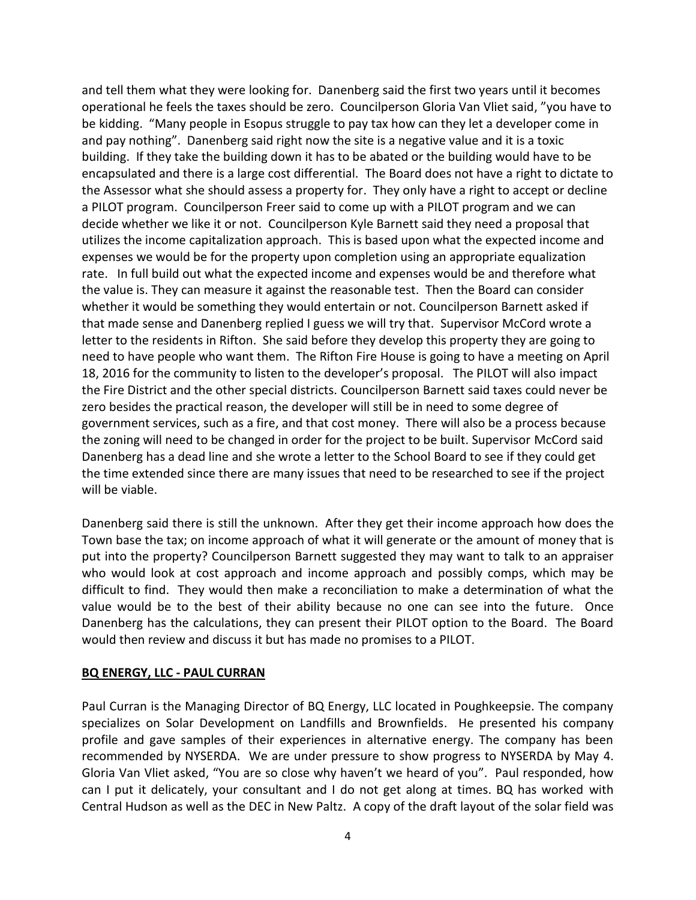and tell them what they were looking for. Danenberg said the first two years until it becomes operational he feels the taxes should be zero. Councilperson Gloria Van Vliet said, "you have to be kidding. "Many people in Esopus struggle to pay tax how can they let a developer come in and pay nothing". Danenberg said right now the site is a negative value and it is a toxic building. If they take the building down it has to be abated or the building would have to be encapsulated and there is a large cost differential. The Board does not have a right to dictate to the Assessor what she should assess a property for. They only have a right to accept or decline a PILOT program. Councilperson Freer said to come up with a PILOT program and we can decide whether we like it or not. Councilperson Kyle Barnett said they need a proposal that utilizes the income capitalization approach. This is based upon what the expected income and expenses we would be for the property upon completion using an appropriate equalization rate. In full build out what the expected income and expenses would be and therefore what the value is. They can measure it against the reasonable test. Then the Board can consider whether it would be something they would entertain or not. Councilperson Barnett asked if that made sense and Danenberg replied I guess we will try that. Supervisor McCord wrote a letter to the residents in Rifton. She said before they develop this property they are going to need to have people who want them. The Rifton Fire House is going to have a meeting on April 18, 2016 for the community to listen to the developer's proposal. The PILOT will also impact the Fire District and the other special districts. Councilperson Barnett said taxes could never be zero besides the practical reason, the developer will still be in need to some degree of government services, such as a fire, and that cost money. There will also be a process because the zoning will need to be changed in order for the project to be built. Supervisor McCord said Danenberg has a dead line and she wrote a letter to the School Board to see if they could get the time extended since there are many issues that need to be researched to see if the project will be viable.

Danenberg said there is still the unknown. After they get their income approach how does the Town base the tax; on income approach of what it will generate or the amount of money that is put into the property? Councilperson Barnett suggested they may want to talk to an appraiser who would look at cost approach and income approach and possibly comps, which may be difficult to find. They would then make a reconciliation to make a determination of what the value would be to the best of their ability because no one can see into the future. Once Danenberg has the calculations, they can present their PILOT option to the Board. The Board would then review and discuss it but has made no promises to a PILOT.

#### **BQ ENERGY, LLC - PAUL CURRAN**

Paul Curran is the Managing Director of BQ Energy, LLC located in Poughkeepsie. The company specializes on Solar Development on Landfills and Brownfields. He presented his company profile and gave samples of their experiences in alternative energy. The company has been recommended by NYSERDA. We are under pressure to show progress to NYSERDA by May 4. Gloria Van Vliet asked, "You are so close why haven't we heard of you". Paul responded, how can I put it delicately, your consultant and I do not get along at times. BQ has worked with Central Hudson as well as the DEC in New Paltz. A copy of the draft layout of the solar field was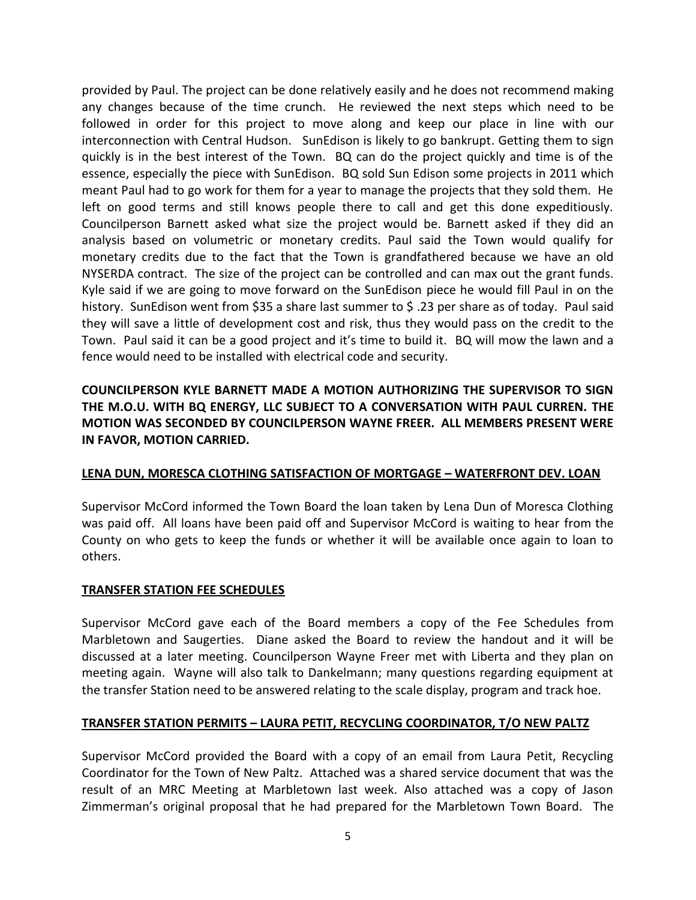provided by Paul. The project can be done relatively easily and he does not recommend making any changes because of the time crunch. He reviewed the next steps which need to be followed in order for this project to move along and keep our place in line with our interconnection with Central Hudson. SunEdison is likely to go bankrupt. Getting them to sign quickly is in the best interest of the Town. BQ can do the project quickly and time is of the essence, especially the piece with SunEdison. BQ sold Sun Edison some projects in 2011 which meant Paul had to go work for them for a year to manage the projects that they sold them. He left on good terms and still knows people there to call and get this done expeditiously. Councilperson Barnett asked what size the project would be. Barnett asked if they did an analysis based on volumetric or monetary credits. Paul said the Town would qualify for monetary credits due to the fact that the Town is grandfathered because we have an old NYSERDA contract. The size of the project can be controlled and can max out the grant funds. Kyle said if we are going to move forward on the SunEdison piece he would fill Paul in on the history. SunEdison went from \$35 a share last summer to \$ .23 per share as of today. Paul said they will save a little of development cost and risk, thus they would pass on the credit to the Town. Paul said it can be a good project and it's time to build it. BQ will mow the lawn and a fence would need to be installed with electrical code and security.

# **COUNCILPERSON KYLE BARNETT MADE A MOTION AUTHORIZING THE SUPERVISOR TO SIGN THE M.O.U. WITH BQ ENERGY, LLC SUBJECT TO A CONVERSATION WITH PAUL CURREN. THE MOTION WAS SECONDED BY COUNCILPERSON WAYNE FREER. ALL MEMBERS PRESENT WERE IN FAVOR, MOTION CARRIED.**

# **LENA DUN, MORESCA CLOTHING SATISFACTION OF MORTGAGE – WATERFRONT DEV. LOAN**

Supervisor McCord informed the Town Board the loan taken by Lena Dun of Moresca Clothing was paid off. All loans have been paid off and Supervisor McCord is waiting to hear from the County on who gets to keep the funds or whether it will be available once again to loan to others.

## **TRANSFER STATION FEE SCHEDULES**

Supervisor McCord gave each of the Board members a copy of the Fee Schedules from Marbletown and Saugerties. Diane asked the Board to review the handout and it will be discussed at a later meeting. Councilperson Wayne Freer met with Liberta and they plan on meeting again. Wayne will also talk to Dankelmann; many questions regarding equipment at the transfer Station need to be answered relating to the scale display, program and track hoe.

## **TRANSFER STATION PERMITS – LAURA PETIT, RECYCLING COORDINATOR, T/O NEW PALTZ**

Supervisor McCord provided the Board with a copy of an email from Laura Petit, Recycling Coordinator for the Town of New Paltz. Attached was a shared service document that was the result of an MRC Meeting at Marbletown last week. Also attached was a copy of Jason Zimmerman's original proposal that he had prepared for the Marbletown Town Board. The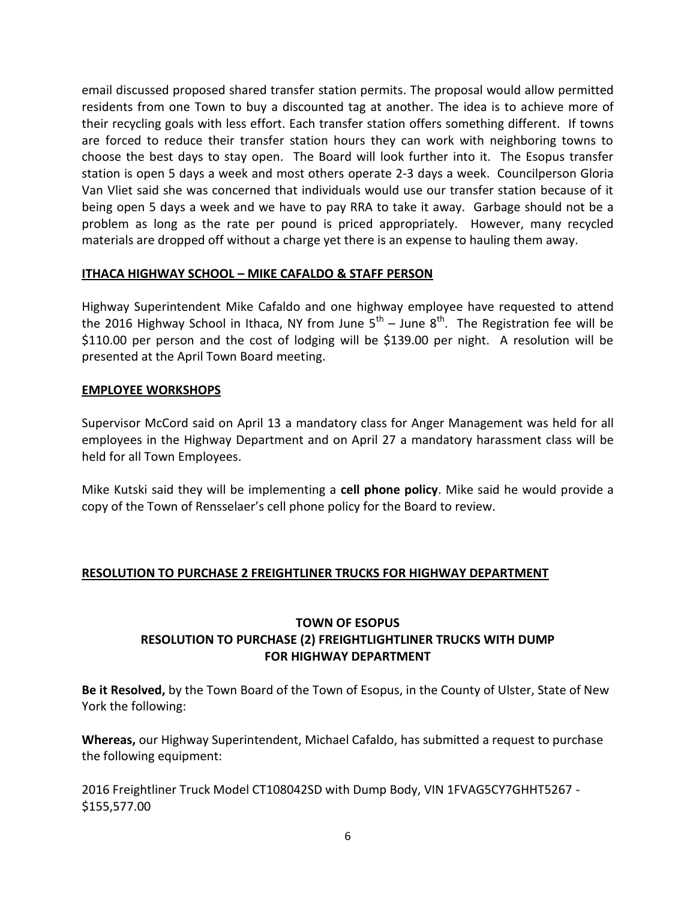email discussed proposed shared transfer station permits. The proposal would allow permitted residents from one Town to buy a discounted tag at another. The idea is to achieve more of their recycling goals with less effort. Each transfer station offers something different. If towns are forced to reduce their transfer station hours they can work with neighboring towns to choose the best days to stay open. The Board will look further into it. The Esopus transfer station is open 5 days a week and most others operate 2-3 days a week. Councilperson Gloria Van Vliet said she was concerned that individuals would use our transfer station because of it being open 5 days a week and we have to pay RRA to take it away. Garbage should not be a problem as long as the rate per pound is priced appropriately. However, many recycled materials are dropped off without a charge yet there is an expense to hauling them away.

## **ITHACA HIGHWAY SCHOOL – MIKE CAFALDO & STAFF PERSON**

Highway Superintendent Mike Cafaldo and one highway employee have requested to attend the 2016 Highway School in Ithaca, NY from June  $5^{\text{th}}$  – June  $8^{\text{th}}$ . The Registration fee will be \$110.00 per person and the cost of lodging will be \$139.00 per night. A resolution will be presented at the April Town Board meeting.

## **EMPLOYEE WORKSHOPS**

Supervisor McCord said on April 13 a mandatory class for Anger Management was held for all employees in the Highway Department and on April 27 a mandatory harassment class will be held for all Town Employees.

Mike Kutski said they will be implementing a **cell phone policy**. Mike said he would provide a copy of the Town of Rensselaer's cell phone policy for the Board to review.

# **RESOLUTION TO PURCHASE 2 FREIGHTLINER TRUCKS FOR HIGHWAY DEPARTMENT**

# **TOWN OF ESOPUS RESOLUTION TO PURCHASE (2) FREIGHTLIGHTLINER TRUCKS WITH DUMP FOR HIGHWAY DEPARTMENT**

**Be it Resolved,** by the Town Board of the Town of Esopus, in the County of Ulster, State of New York the following:

**Whereas,** our Highway Superintendent, Michael Cafaldo, has submitted a request to purchase the following equipment:

2016 Freightliner Truck Model CT108042SD with Dump Body, VIN 1FVAG5CY7GHHT5267 - \$155,577.00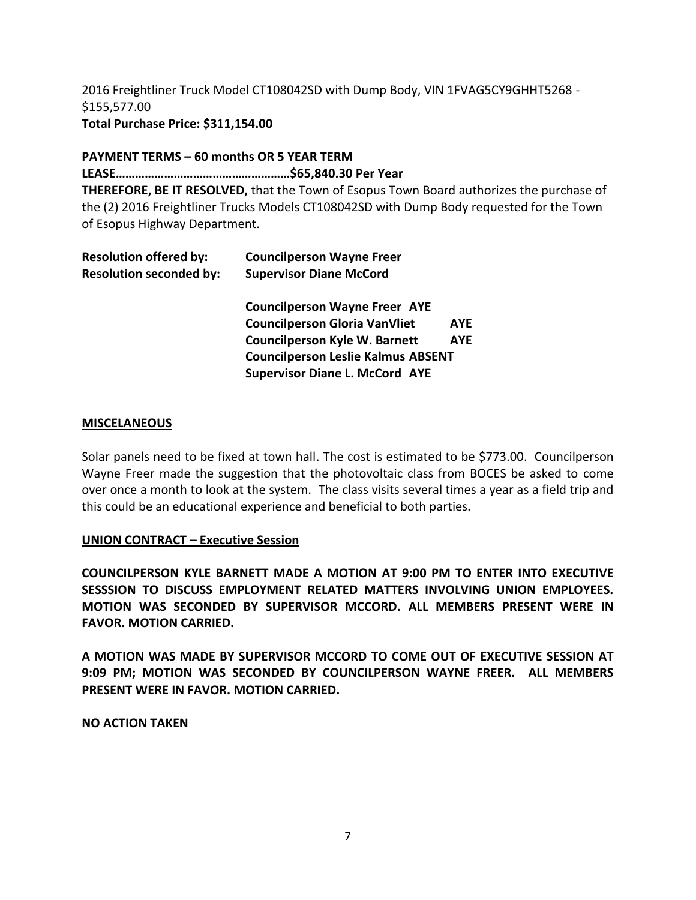2016 Freightliner Truck Model CT108042SD with Dump Body, VIN 1FVAG5CY9GHHT5268 - \$155,577.00 **Total Purchase Price: \$311,154.00**

#### **PAYMENT TERMS – 60 months OR 5 YEAR TERM**

**LEASE………………………………………………\$65,840.30 Per Year**

**THEREFORE, BE IT RESOLVED,** that the Town of Esopus Town Board authorizes the purchase of the (2) 2016 Freightliner Trucks Models CT108042SD with Dump Body requested for the Town of Esopus Highway Department.

| <b>Resolution seconded by:</b><br><b>Supervisor Diane McCord</b><br><b>Councilperson Wayne Freer AYE</b><br><b>Councilperson Gloria VanVliet</b><br><b>AYE</b><br><b>Councilperson Kyle W. Barnett</b><br><b>AYE</b><br><b>Councilperson Leslie Kalmus ABSENT</b> |
|-------------------------------------------------------------------------------------------------------------------------------------------------------------------------------------------------------------------------------------------------------------------|
|                                                                                                                                                                                                                                                                   |
|                                                                                                                                                                                                                                                                   |
|                                                                                                                                                                                                                                                                   |
|                                                                                                                                                                                                                                                                   |
|                                                                                                                                                                                                                                                                   |
| <b>Supervisor Diane L. McCord AYE</b>                                                                                                                                                                                                                             |

#### **MISCELANEOUS**

Solar panels need to be fixed at town hall. The cost is estimated to be \$773.00. Councilperson Wayne Freer made the suggestion that the photovoltaic class from BOCES be asked to come over once a month to look at the system. The class visits several times a year as a field trip and this could be an educational experience and beneficial to both parties.

## **UNION CONTRACT – Executive Session**

**COUNCILPERSON KYLE BARNETT MADE A MOTION AT 9:00 PM TO ENTER INTO EXECUTIVE SESSSION TO DISCUSS EMPLOYMENT RELATED MATTERS INVOLVING UNION EMPLOYEES. MOTION WAS SECONDED BY SUPERVISOR MCCORD. ALL MEMBERS PRESENT WERE IN FAVOR. MOTION CARRIED.** 

**A MOTION WAS MADE BY SUPERVISOR MCCORD TO COME OUT OF EXECUTIVE SESSION AT 9:09 PM; MOTION WAS SECONDED BY COUNCILPERSON WAYNE FREER. ALL MEMBERS PRESENT WERE IN FAVOR. MOTION CARRIED.**

**NO ACTION TAKEN**